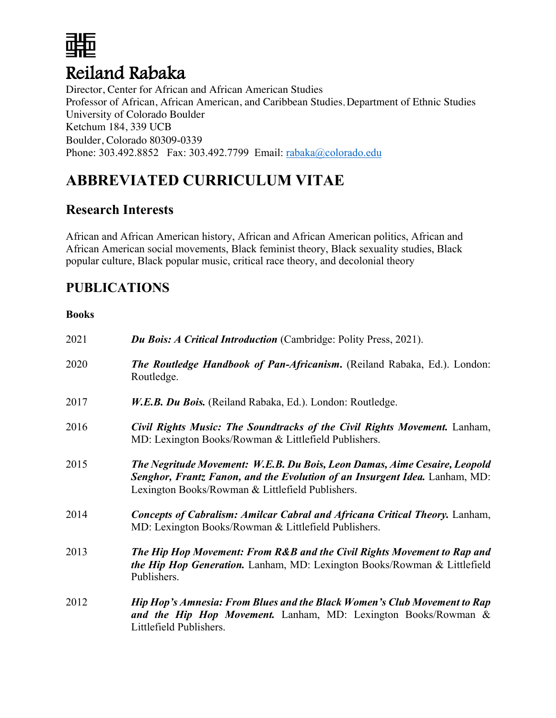

Director, Center for African and African American Studies Professor of African, African American, and Caribbean Studies, Department of Ethnic Studies University of Colorado Boulder Ketchum 184, 339 UCB Boulder, Colorado 80309-0339 Phone: 303.492.8852 Fax: 303.492.7799 Email: rabaka@colorado.edu

# **ABBREVIATED CURRICULUM VITAE**

## **Research Interests**

African and African American history, African and African American politics, African and African American social movements, Black feminist theory, Black sexuality studies, Black popular culture, Black popular music, critical race theory, and decolonial theory

## **PUBLICATIONS**

### **Books**

| 2021 | <b>Du Bois: A Critical Introduction</b> (Cambridge: Polity Press, 2021).                                                                                                                                    |
|------|-------------------------------------------------------------------------------------------------------------------------------------------------------------------------------------------------------------|
| 2020 | <b>The Routledge Handbook of Pan-Africanism.</b> (Reiland Rabaka, Ed.). London:<br>Routledge.                                                                                                               |
| 2017 | W.E.B. Du Bois. (Reiland Rabaka, Ed.). London: Routledge.                                                                                                                                                   |
| 2016 | Civil Rights Music: The Soundtracks of the Civil Rights Movement. Lanham,<br>MD: Lexington Books/Rowman & Littlefield Publishers.                                                                           |
| 2015 | The Negritude Movement: W.E.B. Du Bois, Leon Damas, Aime Cesaire, Leopold<br>Senghor, Frantz Fanon, and the Evolution of an Insurgent Idea. Lanham, MD:<br>Lexington Books/Rowman & Littlefield Publishers. |
| 2014 | <b>Concepts of Cabralism: Amilcar Cabral and Africana Critical Theory.</b> Lanham,<br>MD: Lexington Books/Rowman & Littlefield Publishers.                                                                  |
| 2013 | The Hip Hop Movement: From R&B and the Civil Rights Movement to Rap and<br><i>the Hip Hop Generation.</i> Lanham, MD: Lexington Books/Rowman & Littlefield<br>Publishers.                                   |
| 2012 | Hip Hop's Amnesia: From Blues and the Black Women's Club Movement to Rap<br>and the Hip Hop Movement. Lanham, MD: Lexington Books/Rowman &<br>Littlefield Publishers.                                       |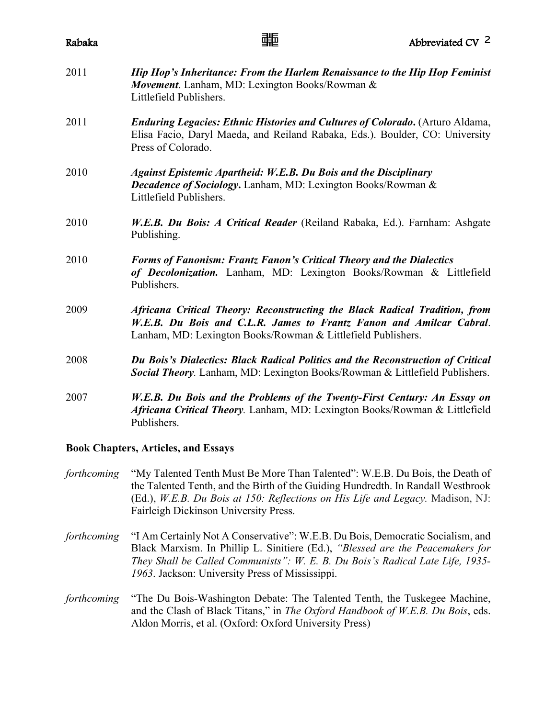| Rabaka | 蜅                                                                                                                                                                                                                 | Abbreviated CV <sup>2</sup> |
|--------|-------------------------------------------------------------------------------------------------------------------------------------------------------------------------------------------------------------------|-----------------------------|
| 2011   | Hip Hop's Inheritance: From the Harlem Renaissance to the Hip Hop Feminist<br>Movement. Lanham, MD: Lexington Books/Rowman &<br>Littlefield Publishers.                                                           |                             |
| 2011   | <b>Enduring Legacies: Ethnic Histories and Cultures of Colorado.</b> (Arturo Aldama,<br>Elisa Facio, Daryl Maeda, and Reiland Rabaka, Eds.). Boulder, CO: University<br>Press of Colorado.                        |                             |
| 2010   | <b>Against Epistemic Apartheid: W.E.B. Du Bois and the Disciplinary</b><br><b>Decadence of Sociology.</b> Lanham, MD: Lexington Books/Rowman &<br>Littlefield Publishers.                                         |                             |
| 2010   | <i>W.E.B. Du Bois: A Critical Reader</i> (Reiland Rabaka, Ed.). Farnham: Ashgate<br>Publishing.                                                                                                                   |                             |
| 2010   | <b>Forms of Fanonism: Frantz Fanon's Critical Theory and the Dialectics</b><br>of Decolonization. Lanham, MD: Lexington Books/Rowman & Littlefield<br>Publishers.                                                 |                             |
| 2009   | Africana Critical Theory: Reconstructing the Black Radical Tradition, from<br>W.E.B. Du Bois and C.L.R. James to Frantz Fanon and Amilcar Cabral.<br>Lanham, MD: Lexington Books/Rowman & Littlefield Publishers. |                             |
| 2008   | Du Bois's Dialectics: Black Radical Politics and the Reconstruction of Critical<br>Social Theory. Lanham, MD: Lexington Books/Rowman & Littlefield Publishers.                                                    |                             |
| 2007   | W.E.B. Du Bois and the Problems of the Twenty-First Century: An Essay on<br>Africana Critical Theory. Lanham, MD: Lexington Books/Rowman & Littlefield<br>Publishers.                                             |                             |

### **Book Chapters, Articles, and Essays**

- *forthcoming* "My Talented Tenth Must Be More Than Talented": W.E.B. Du Bois, the Death of the Talented Tenth, and the Birth of the Guiding Hundredth. In Randall Westbrook (Ed.), *W.E.B. Du Bois at 150: Reflections on His Life and Legacy.* Madison, NJ: Fairleigh Dickinson University Press.
- *forthcoming* "I Am Certainly Not A Conservative": W.E.B. Du Bois, Democratic Socialism, and Black Marxism. In Phillip L. Sinitiere (Ed.), *"Blessed are the Peacemakers for They Shall be Called Communists": W. E. B. Du Bois's Radical Late Life, 1935- 1963*. Jackson: University Press of Mississippi.
- *forthcoming* "The Du Bois-Washington Debate: The Talented Tenth, the Tuskegee Machine, and the Clash of Black Titans," in *The Oxford Handbook of W.E.B. Du Bois*, eds. Aldon Morris, et al. (Oxford: Oxford University Press)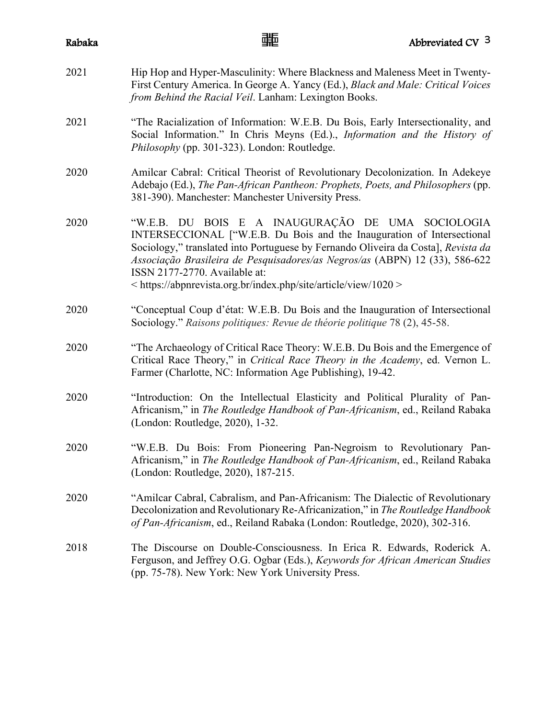- 2021 Hip Hop and Hyper-Masculinity: Where Blackness and Maleness Meet in Twenty-First Century America. In George A. Yancy (Ed.), *Black and Male: Critical Voices from Behind the Racial Veil*. Lanham: Lexington Books. 2021 "The Racialization of Information: W.E.B. Du Bois, Early Intersectionality, and Social Information." In Chris Meyns (Ed.)., *Information and the History of Philosophy* (pp. 301-323). London: Routledge. 2020 Amilcar Cabral: Critical Theorist of Revolutionary Decolonization. In Adekeye Adebajo (Ed.), *The Pan-African Pantheon: Prophets, Poets, and Philosophers* (pp. 381-390). Manchester: Manchester University Press. 2020 "W.E.B. DU BOIS E A INAUGURAÇÃO DE UMA SOCIOLOGIA INTERSECCIONAL ["W.E.B. Du Bois and the Inauguration of Intersectional Sociology," translated into Portuguese by Fernando Oliveira da Costa], *Revista da Associação Brasileira de Pesquisadores/as Negros/as* (ABPN) 12 (33), 586-622
- 2020 "Conceptual Coup d'état: W.E.B. Du Bois and the Inauguration of Intersectional Sociology." *Raisons politiques: Revue de théorie politique* 78 (2), 45-58.

< https://abpnrevista.org.br/index.php/site/article/view/1020 >

ISSN 2177-2770. Available at:

- 2020 "The Archaeology of Critical Race Theory: W.E.B. Du Bois and the Emergence of Critical Race Theory," in *Critical Race Theory in the Academy*, ed. Vernon L. Farmer (Charlotte, NC: Information Age Publishing), 19-42.
- 2020 "Introduction: On the Intellectual Elasticity and Political Plurality of Pan-Africanism," in *The Routledge Handbook of Pan-Africanism*, ed., Reiland Rabaka (London: Routledge, 2020), 1-32.
- 2020 "W.E.B. Du Bois: From Pioneering Pan-Negroism to Revolutionary Pan-Africanism," in *The Routledge Handbook of Pan-Africanism*, ed., Reiland Rabaka (London: Routledge, 2020), 187-215.
- 2020 "Amilcar Cabral, Cabralism, and Pan-Africanism: The Dialectic of Revolutionary Decolonization and Revolutionary Re-Africanization," in *The Routledge Handbook of Pan-Africanism*, ed., Reiland Rabaka (London: Routledge, 2020), 302-316.
- 2018 The Discourse on Double-Consciousness. In Erica R. Edwards, Roderick A. Ferguson, and Jeffrey O.G. Ogbar (Eds.), *Keywords for African American Studies* (pp. 75-78). New York: New York University Press.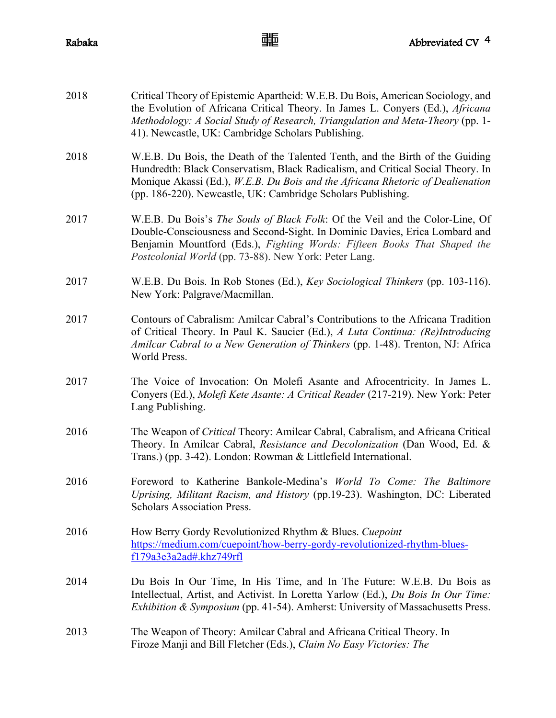| 2018 | Critical Theory of Epistemic Apartheid: W.E.B. Du Bois, American Sociology, and<br>the Evolution of Africana Critical Theory. In James L. Conyers (Ed.), Africana<br>Methodology: A Social Study of Research, Triangulation and Meta-Theory (pp. 1-<br>41). Newcastle, UK: Cambridge Scholars Publishing.          |
|------|--------------------------------------------------------------------------------------------------------------------------------------------------------------------------------------------------------------------------------------------------------------------------------------------------------------------|
| 2018 | W.E.B. Du Bois, the Death of the Talented Tenth, and the Birth of the Guiding<br>Hundredth: Black Conservatism, Black Radicalism, and Critical Social Theory. In<br>Monique Akassi (Ed.), W.E.B. Du Bois and the Africana Rhetoric of Dealienation<br>(pp. 186-220). Newcastle, UK: Cambridge Scholars Publishing. |
| 2017 | W.E.B. Du Bois's The Souls of Black Folk: Of the Veil and the Color-Line, Of<br>Double-Consciousness and Second-Sight. In Dominic Davies, Erica Lombard and<br>Benjamin Mountford (Eds.), Fighting Words: Fifteen Books That Shaped the<br>Postcolonial World (pp. 73-88). New York: Peter Lang.                   |
| 2017 | W.E.B. Du Bois. In Rob Stones (Ed.), Key Sociological Thinkers (pp. 103-116).<br>New York: Palgrave/Macmillan.                                                                                                                                                                                                     |
| 2017 | Contours of Cabralism: Amilcar Cabral's Contributions to the Africana Tradition<br>of Critical Theory. In Paul K. Saucier (Ed.), A Luta Continua: (Re)Introducing<br>Amilcar Cabral to a New Generation of Thinkers (pp. 1-48). Trenton, NJ: Africa<br>World Press.                                                |
| 2017 | The Voice of Invocation: On Molefi Asante and Afrocentricity. In James L.<br>Conyers (Ed.), Molefi Kete Asante: A Critical Reader (217-219). New York: Peter<br>Lang Publishing.                                                                                                                                   |
| 2016 | The Weapon of Critical Theory: Amilcar Cabral, Cabralism, and Africana Critical<br>Theory. In Amilcar Cabral, Resistance and Decolonization (Dan Wood, Ed. &<br>Trans.) (pp. 3-42). London: Rowman & Littlefield International.                                                                                    |
| 2016 | Foreword to Katherine Bankole-Medina's World To Come: The Baltimore<br>Uprising, Militant Racism, and History (pp.19-23). Washington, DC: Liberated<br><b>Scholars Association Press.</b>                                                                                                                          |
| 2016 | How Berry Gordy Revolutionized Rhythm & Blues. Cuepoint<br>https://medium.com/cuepoint/how-berry-gordy-revolutionized-rhythm-blues-<br>f179a3e3a2ad#.khz749rf1                                                                                                                                                     |
| 2014 | Du Bois In Our Time, In His Time, and In The Future: W.E.B. Du Bois as<br>Intellectual, Artist, and Activist. In Loretta Yarlow (Ed.), Du Bois In Our Time:<br><i>Exhibition &amp; Symposium</i> (pp. 41-54). Amherst: University of Massachusetts Press.                                                          |
| 2013 | The Weapon of Theory: Amilcar Cabral and Africana Critical Theory. In<br>Firoze Manji and Bill Fletcher (Eds.), Claim No Easy Victories: The                                                                                                                                                                       |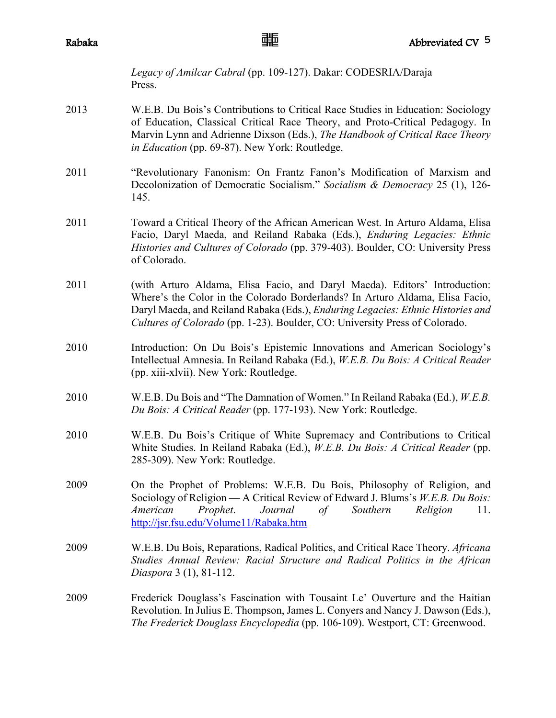*Legacy of Amilcar Cabral* (pp. 109-127). Dakar: CODESRIA/Daraja Press.

- 2013 W.E.B. Du Bois's Contributions to Critical Race Studies in Education: Sociology of Education, Classical Critical Race Theory, and Proto-Critical Pedagogy. In Marvin Lynn and Adrienne Dixson (Eds.), *The Handbook of Critical Race Theory in Education* (pp. 69-87). New York: Routledge.
- 2011 "Revolutionary Fanonism: On Frantz Fanon's Modification of Marxism and Decolonization of Democratic Socialism." *Socialism & Democracy* 25 (1), 126- 145.
- 2011 Toward a Critical Theory of the African American West. In Arturo Aldama, Elisa Facio, Daryl Maeda, and Reiland Rabaka (Eds.), *Enduring Legacies: Ethnic Histories and Cultures of Colorado* (pp. 379-403). Boulder, CO: University Press of Colorado.
- 2011 (with Arturo Aldama, Elisa Facio, and Daryl Maeda). Editors' Introduction: Where's the Color in the Colorado Borderlands? In Arturo Aldama, Elisa Facio, Daryl Maeda, and Reiland Rabaka (Eds.), *Enduring Legacies: Ethnic Histories and Cultures of Colorado* (pp. 1-23). Boulder, CO: University Press of Colorado.
- 2010 Introduction: On Du Bois's Epistemic Innovations and American Sociology's Intellectual Amnesia. In Reiland Rabaka (Ed.), *W.E.B. Du Bois: A Critical Reader* (pp. xiii-xlvii). New York: Routledge.
- 2010 W.E.B. Du Bois and "The Damnation of Women." In Reiland Rabaka (Ed.), *W.E.B. Du Bois: A Critical Reader* (pp. 177-193). New York: Routledge.
- 2010 W.E.B. Du Bois's Critique of White Supremacy and Contributions to Critical White Studies. In Reiland Rabaka (Ed.), *W.E.B. Du Bois: A Critical Reader* (pp. 285-309). New York: Routledge.
- 2009 On the Prophet of Problems: W.E.B. Du Bois, Philosophy of Religion, and Sociology of Religion — A Critical Review of Edward J. Blums's *W.E.B. Du Bois: American Prophet*. *Journal of Southern Religion* 11. http://jsr.fsu.edu/Volume11/Rabaka.htm
- 2009 W.E.B. Du Bois, Reparations, Radical Politics, and Critical Race Theory. *Africana Studies Annual Review: Racial Structure and Radical Politics in the African Diaspora* 3 (1), 81-112.
- 2009 Frederick Douglass's Fascination with Tousaint Le' Ouverture and the Haitian Revolution. In Julius E. Thompson, James L. Conyers and Nancy J. Dawson (Eds.), *The Frederick Douglass Encyclopedia* (pp. 106-109). Westport, CT: Greenwood.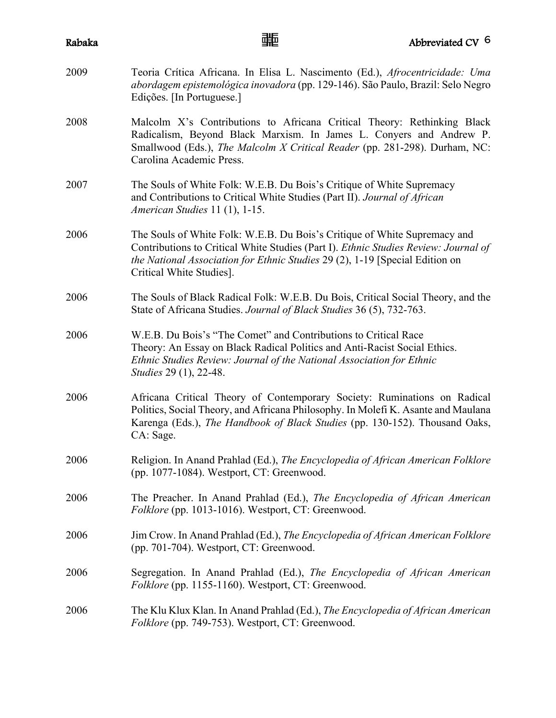| Rabaka | 蜅                                                                                                                                                                                                                                                                            | Abbreviated CV 6 |
|--------|------------------------------------------------------------------------------------------------------------------------------------------------------------------------------------------------------------------------------------------------------------------------------|------------------|
| 2009   | Teoria Crítica Africana. In Elisa L. Nascimento (Ed.), Afrocentricidade: Uma<br>abordagem epistemológica inovadora (pp. 129-146). São Paulo, Brazil: Selo Negro<br>Edições. [In Portuguese.]                                                                                 |                  |
| 2008   | Malcolm X's Contributions to Africana Critical Theory: Rethinking Black<br>Radicalism, Beyond Black Marxism. In James L. Conyers and Andrew P.<br>Smallwood (Eds.), The Malcolm X Critical Reader (pp. 281-298). Durham, NC:<br>Carolina Academic Press.                     |                  |
| 2007   | The Souls of White Folk: W.E.B. Du Bois's Critique of White Supremacy<br>and Contributions to Critical White Studies (Part II). Journal of African<br>American Studies 11 (1), 1-15.                                                                                         |                  |
| 2006   | The Souls of White Folk: W.E.B. Du Bois's Critique of White Supremacy and<br>Contributions to Critical White Studies (Part I). Ethnic Studies Review: Journal of<br>the National Association for Ethnic Studies 29 (2), 1-19 [Special Edition on<br>Critical White Studies]. |                  |
| 2006   | The Souls of Black Radical Folk: W.E.B. Du Bois, Critical Social Theory, and the<br>State of Africana Studies. Journal of Black Studies 36 (5), 732-763.                                                                                                                     |                  |
| 2006   | W.E.B. Du Bois's "The Comet" and Contributions to Critical Race<br>Theory: An Essay on Black Radical Politics and Anti-Racist Social Ethics.<br>Ethnic Studies Review: Journal of the National Association for Ethnic<br><i>Studies</i> 29 (1), 22-48.                       |                  |
| 2006   | Africana Critical Theory of Contemporary Society: Ruminations on Radical<br>Politics, Social Theory, and Africana Philosophy. In Molefi K. Asante and Maulana<br>Karenga (Eds.), The Handbook of Black Studies (pp. 130-152). Thousand Oaks,<br>CA: Sage.                    |                  |
| 2006   | Religion. In Anand Prahlad (Ed.), The Encyclopedia of African American Folklore<br>(pp. 1077-1084). Westport, CT: Greenwood.                                                                                                                                                 |                  |
| 2006   | The Preacher. In Anand Prahlad (Ed.), The Encyclopedia of African American<br>Folklore (pp. 1013-1016). Westport, CT: Greenwood.                                                                                                                                             |                  |
| 2006   | Jim Crow. In Anand Prahlad (Ed.), The Encyclopedia of African American Folklore<br>(pp. 701-704). Westport, CT: Greenwood.                                                                                                                                                   |                  |
| 2006   | Segregation. In Anand Prahlad (Ed.), The Encyclopedia of African American<br>Folklore (pp. 1155-1160). Westport, CT: Greenwood.                                                                                                                                              |                  |
| 2006   | The Klu Klux Klan. In Anand Prahlad (Ed.), The Encyclopedia of African American<br>Folklore (pp. 749-753). Westport, CT: Greenwood.                                                                                                                                          |                  |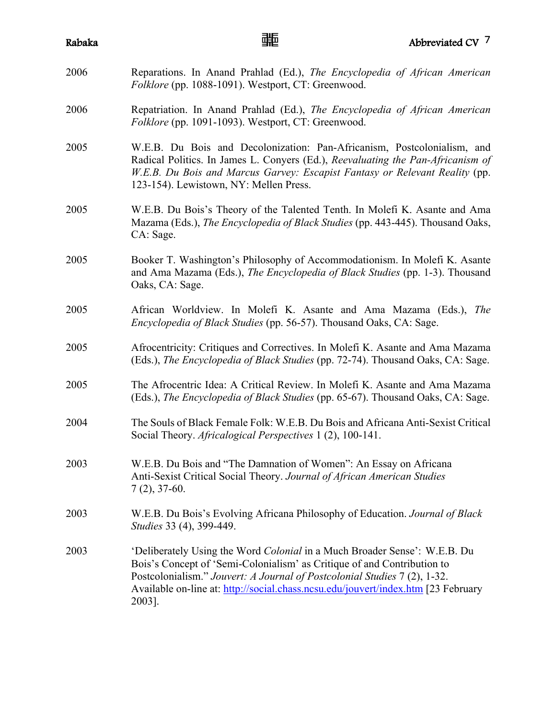| Rabaka | 啪                                                                                                                                                                                                                                                                                                                                | Abbreviated CV <sup>7</sup> |
|--------|----------------------------------------------------------------------------------------------------------------------------------------------------------------------------------------------------------------------------------------------------------------------------------------------------------------------------------|-----------------------------|
| 2006   | Reparations. In Anand Prahlad (Ed.), The Encyclopedia of African American<br>Folklore (pp. 1088-1091). Westport, CT: Greenwood.                                                                                                                                                                                                  |                             |
| 2006   | Repatriation. In Anand Prahlad (Ed.), The Encyclopedia of African American<br>Folklore (pp. 1091-1093). Westport, CT: Greenwood.                                                                                                                                                                                                 |                             |
| 2005   | W.E.B. Du Bois and Decolonization: Pan-Africanism, Postcolonialism, and<br>Radical Politics. In James L. Conyers (Ed.), Reevaluating the Pan-Africanism of<br>W.E.B. Du Bois and Marcus Garvey: Escapist Fantasy or Relevant Reality (pp.<br>123-154). Lewistown, NY: Mellen Press.                                              |                             |
| 2005   | W.E.B. Du Bois's Theory of the Talented Tenth. In Molefi K. Asante and Ama<br>Mazama (Eds.), The Encyclopedia of Black Studies (pp. 443-445). Thousand Oaks,<br>CA: Sage.                                                                                                                                                        |                             |
| 2005   | Booker T. Washington's Philosophy of Accommodationism. In Molefi K. Asante<br>and Ama Mazama (Eds.), The Encyclopedia of Black Studies (pp. 1-3). Thousand<br>Oaks, CA: Sage.                                                                                                                                                    |                             |
| 2005   | African Worldview. In Molefi K. Asante and Ama Mazama (Eds.), The<br><i>Encyclopedia of Black Studies</i> (pp. 56-57). Thousand Oaks, CA: Sage.                                                                                                                                                                                  |                             |
| 2005   | Afrocentricity: Critiques and Correctives. In Molefi K. Asante and Ama Mazama<br>(Eds.), <i>The Encyclopedia of Black Studies</i> (pp. 72-74). Thousand Oaks, CA: Sage.                                                                                                                                                          |                             |
| 2005   | The Afrocentric Idea: A Critical Review. In Molefi K. Asante and Ama Mazama<br>(Eds.), The Encyclopedia of Black Studies (pp. 65-67). Thousand Oaks, CA: Sage.                                                                                                                                                                   |                             |
| 2004   | The Souls of Black Female Folk: W.E.B. Du Bois and Africana Anti-Sexist Critical<br>Social Theory. Africalogical Perspectives 1 (2), 100-141.                                                                                                                                                                                    |                             |
| 2003   | W.E.B. Du Bois and "The Damnation of Women": An Essay on Africana<br>Anti-Sexist Critical Social Theory. Journal of African American Studies<br>$7(2), 37-60.$                                                                                                                                                                   |                             |
| 2003   | W.E.B. Du Bois's Evolving Africana Philosophy of Education. Journal of Black<br>Studies 33 (4), 399-449.                                                                                                                                                                                                                         |                             |
| 2003   | 'Deliberately Using the Word Colonial in a Much Broader Sense': W.E.B. Du<br>Bois's Concept of 'Semi-Colonialism' as Critique of and Contribution to<br>Postcolonialism." Jouvert: A Journal of Postcolonial Studies 7 (2), 1-32.<br>Available on-line at: http://social.chass.ncsu.edu/jouvert/index.htm [23 February<br>2003]. |                             |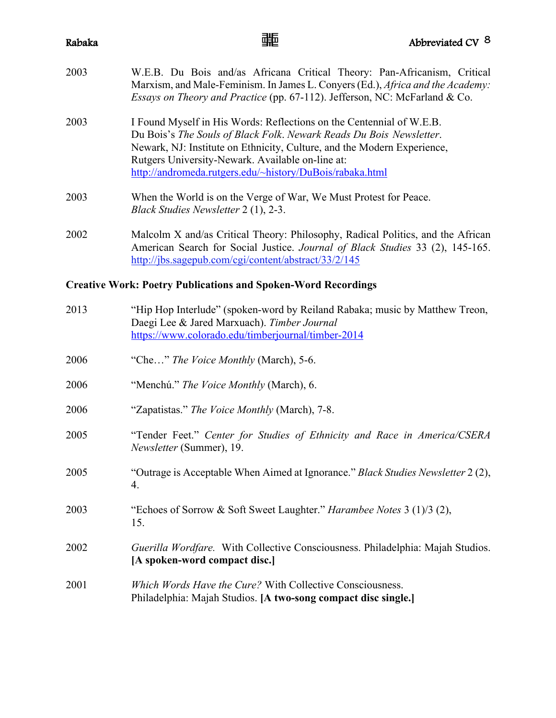| 2003 | W.E.B. Du Bois and/as Africana Critical Theory: Pan-Africanism, Critical<br>Marxism, and Male-Feminism. In James L. Convers (Ed.), Africa and the Academy:<br><i>Essays on Theory and Practice</i> (pp. 67-112). Jefferson, NC: McFarland & Co.                                                                                        |
|------|----------------------------------------------------------------------------------------------------------------------------------------------------------------------------------------------------------------------------------------------------------------------------------------------------------------------------------------|
| 2003 | I Found Myself in His Words: Reflections on the Centennial of W.E.B.<br>Du Bois's The Souls of Black Folk. Newark Reads Du Bois Newsletter.<br>Newark, NJ: Institute on Ethnicity, Culture, and the Modern Experience,<br>Rutgers University-Newark. Available on-line at:<br>http://andromeda.rutgers.edu/~history/DuBois/rabaka.html |
| 2003 | When the World is on the Verge of War, We Must Protest for Peace.                                                                                                                                                                                                                                                                      |

2002 Malcolm X and/as Critical Theory: Philosophy, Radical Politics, and the African American Search for Social Justice. *Journal of Black Studies* 33 (2), 145-165. http://jbs.sagepub.com/cgi/content/abstract/33/2/145

### **Creative Work: Poetry Publications and Spoken-Word Recordings**

*Black Studies Newsletter* 2 (1), 2-3.

| 2013 | "Hip Hop Interlude" (spoken-word by Reiland Rabaka; music by Matthew Treon,<br>Daegi Lee & Jared Marxuach). Timber Journal<br>https://www.colorado.edu/timberjournal/timber-2014 |
|------|----------------------------------------------------------------------------------------------------------------------------------------------------------------------------------|
| 2006 | "Che" The Voice Monthly (March), 5-6.                                                                                                                                            |
| 2006 | "Menchú." The Voice Monthly (March), 6.                                                                                                                                          |
| 2006 | "Zapatistas." The Voice Monthly (March), 7-8.                                                                                                                                    |
| 2005 | "Tender Feet." Center for Studies of Ethnicity and Race in America/CSERA<br>Newsletter (Summer), 19.                                                                             |
| 2005 | "Outrage is Acceptable When Aimed at Ignorance." Black Studies Newsletter 2 (2),<br>4.                                                                                           |
| 2003 | "Echoes of Sorrow & Soft Sweet Laughter." <i>Harambee Notes</i> 3 (1)/3 (2),<br>15.                                                                                              |
| 2002 | Guerilla Wordfare. With Collective Consciousness. Philadelphia: Majah Studios.<br>[A spoken-word compact disc.]                                                                  |
| 2001 | Which Words Have the Cure? With Collective Consciousness.<br>Philadelphia: Majah Studios. [A two-song compact disc single.]                                                      |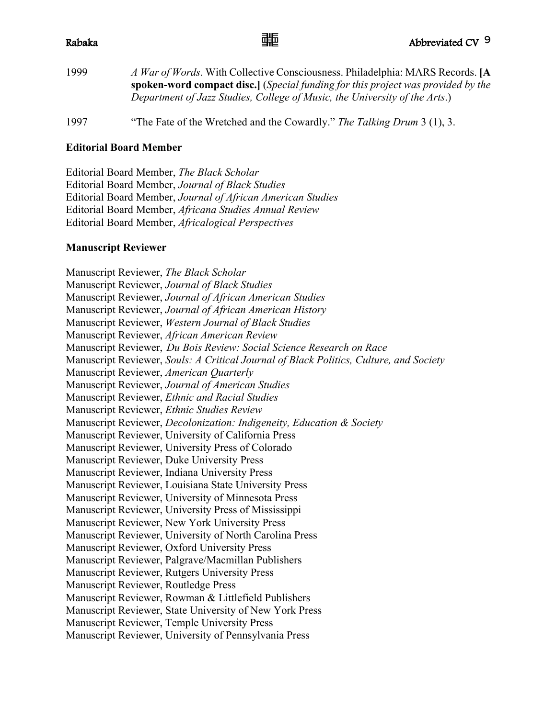| 1999 | A War of Words. With Collective Consciousness. Philadelphia: MARS Records. [A                  |
|------|------------------------------------------------------------------------------------------------|
|      | <b>spoken-word compact disc.</b> ( <i>Special funding for this project was provided by the</i> |
|      | Department of Jazz Studies, College of Music, the University of the Arts.)                     |
|      |                                                                                                |

1997 "The Fate of the Wretched and the Cowardly." *The Talking Drum* 3 (1), 3.

### **Editorial Board Member**

Editorial Board Member, *The Black Scholar* Editorial Board Member, *Journal of Black Studies* Editorial Board Member, *Journal of African American Studies* Editorial Board Member, *Africana Studies Annual Review* Editorial Board Member, *Africalogical Perspectives*

### **Manuscript Reviewer**

Manuscript Reviewer, *The Black Scholar* Manuscript Reviewer, *Journal of Black Studies* Manuscript Reviewer, *Journal of African American Studies* Manuscript Reviewer, *Journal of African American History* Manuscript Reviewer, *Western Journal of Black Studies* Manuscript Reviewer, *African American Review* Manuscript Reviewer, *Du Bois Review: Social Science Research on Race* Manuscript Reviewer, *Souls: A Critical Journal of Black Politics, Culture, and Society* Manuscript Reviewer, *American Quarterly* Manuscript Reviewer, *Journal of American Studies* Manuscript Reviewer, *Ethnic and Racial Studies* Manuscript Reviewer, *Ethnic Studies Review* Manuscript Reviewer, *Decolonization: Indigeneity, Education & Society* Manuscript Reviewer, University of California Press Manuscript Reviewer, University Press of Colorado Manuscript Reviewer, Duke University Press Manuscript Reviewer, Indiana University Press Manuscript Reviewer, Louisiana State University Press Manuscript Reviewer, University of Minnesota Press Manuscript Reviewer, University Press of Mississippi Manuscript Reviewer, New York University Press Manuscript Reviewer, University of North Carolina Press Manuscript Reviewer, Oxford University Press Manuscript Reviewer, Palgrave/Macmillan Publishers Manuscript Reviewer, Rutgers University Press Manuscript Reviewer, Routledge Press Manuscript Reviewer, Rowman & Littlefield Publishers Manuscript Reviewer, State University of New York Press Manuscript Reviewer, Temple University Press Manuscript Reviewer, University of Pennsylvania Press